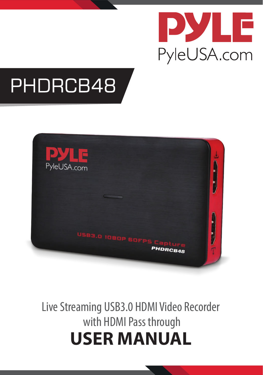

# PHDRCB48



Live Streaming USB3.0 HDMI Video Recorder with HDMI Pass through **USER MANUAL**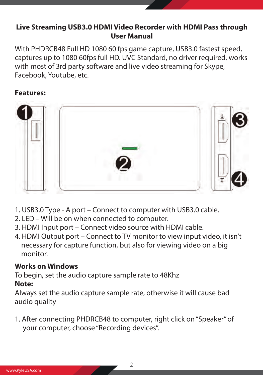#### **Live Streaming USB3.0 HDMI Video Recorder with HDMI Pass through User Manual**

With PHDRCB48 Full HD 1080 60 fps game capture, USB3.0 fastest speed, captures up to 1080 60fps full HD. UVC Standard, no driver required, works with most of 3rd party software and live video streaming for Skype, Facebook, Youtube, etc.

#### **Features:**



- 1. USB3.0 Type A port Connect to computer with USB3.0 cable.
- 2. LED Will be on when connected to computer.
- 3. HDMI Input port Connect video source with HDMI cable.
- 4. HDMI Output port Connect to TV monitor to view input video, it isn't necessary for capture function, but also for viewing video on a big monitor.

#### **Works on Windows**

To begin, set the audio capture sample rate to 48Khz

#### **Note:**

Always set the audio capture sample rate, otherwise it will cause bad audio quality

1. After connecting PHDRCB48 to computer, right click on "Speaker" of your computer, choose "Recording devices".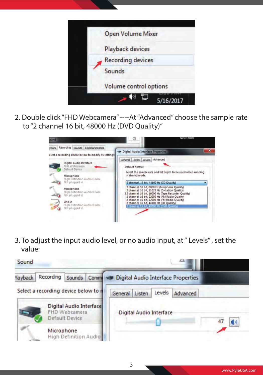

2. Double click "FHD Webcamera" ----At "Advanced" choose the sample rate to "2 channel 16 bit, 48000 Hz (DVD Quality)"



3. To adjust the input audio level, or no audio input, at " Levels" , set the value:

| Sound          |                                      |                                                                   |  |         |        |                                |                                               |    |
|----------------|--------------------------------------|-------------------------------------------------------------------|--|---------|--------|--------------------------------|-----------------------------------------------|----|
| <b>Navback</b> | Recording                            | Sounds                                                            |  |         |        |                                | Common was Digital Audio Interface Properties |    |
|                | Select a recording device below to n |                                                                   |  | General | Listen | Levels                         | Advanced                                      |    |
|                |                                      | Digital Audio Interface<br><b>FHD Webcamera</b><br>Default Device |  |         |        | <b>Digital Audio Interface</b> |                                               | O) |
|                | Microphone                           | High Definition Audio                                             |  |         |        |                                |                                               |    |

3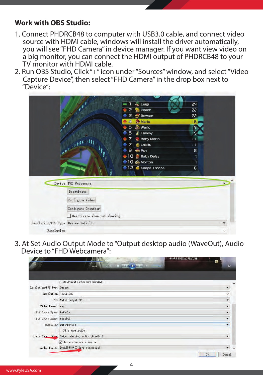#### **Work with OBS Studio:**

- 1. Connect PHDRCB48 to computer with USB3.0 cable, and connect video source with HDMI cable, windows will install the driver automatically, you will see "FHD Camera" in device manager. If you want view video on a big monitor, you can connect the HDMI output of PHDRCB48 to your TV monitor with HDMI cable.
- 2. Run OBS Studio, Click "+" icon under "Sources" window, and select "Video Capture Device", then select "FHD Camera" in the drop box next to "Device":



3. At Set Audio Output Mode to "Output desktop audio (WaveOut), Audio Device to "FHD Webcamera":

|                            | 特别收缩 SPECIAL FEATURES                                                                                                                                                                                                                                                                                                                        |                          |
|----------------------------|----------------------------------------------------------------------------------------------------------------------------------------------------------------------------------------------------------------------------------------------------------------------------------------------------------------------------------------------|--------------------------|
|                            | $M$ $\odot$ $M$ $\odot$ $\ddot{\odot}$ $\ddot{\odot}$ $\ddot{\odot}$ $\ddot{\odot}$ $\ddot{\odot}$ $\ddot{\odot}$ $\ddot{\odot}$ $\ddot{\odot}$ $\ddot{\odot}$ $\ddot{\odot}$ $\ddot{\odot}$ $\ddot{\odot}$ $\ddot{\odot}$ $\ddot{\odot}$ $\ddot{\odot}$ $\ddot{\odot}$ $\ddot{\odot}$ $\ddot{\odot}$ $\ddot{\odot}$ $\ddot{\odot}$<br>00:04 | $\blacksquare$           |
|                            |                                                                                                                                                                                                                                                                                                                                              |                          |
|                            | Deactivate when not showing                                                                                                                                                                                                                                                                                                                  | $\alpha$                 |
| Resolution/FPS Type Custom |                                                                                                                                                                                                                                                                                                                                              | $\bullet$                |
| Resolution 1920x1080       |                                                                                                                                                                                                                                                                                                                                              | ç,                       |
|                            | FPS Match Output FPS                                                                                                                                                                                                                                                                                                                         | ×                        |
| Video Format Any           |                                                                                                                                                                                                                                                                                                                                              | ٠                        |
| YUV Color Space Default    |                                                                                                                                                                                                                                                                                                                                              | $\overline{\phantom{a}}$ |
| YUV Color Range Partial    |                                                                                                                                                                                                                                                                                                                                              | $\overline{\phantom{a}}$ |
|                            | Buffering Auto-Detect                                                                                                                                                                                                                                                                                                                        | $\overline{\phantom{a}}$ |
|                            | Flip Vertically                                                                                                                                                                                                                                                                                                                              |                          |
|                            | Audio Output Mode Output desktop audio (WaveOut)                                                                                                                                                                                                                                                                                             | ۰                        |
|                            | Use custom audio device                                                                                                                                                                                                                                                                                                                      |                          |
|                            | Audio Device 数字音频接口 (FHD Webcamera)                                                                                                                                                                                                                                                                                                          | ۰                        |
|                            |                                                                                                                                                                                                                                                                                                                                              | Cancel<br>OK             |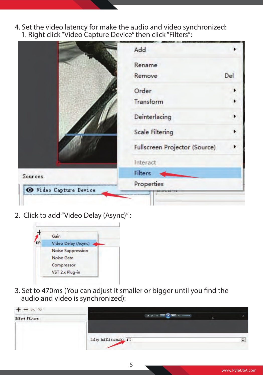4. Set the video latency for make the audio and video synchronized: 1. Right click "Video Capture Device" then click "Filters":

|                        | Add                           |
|------------------------|-------------------------------|
|                        | Rename                        |
|                        | Del<br>Remove                 |
|                        | Order                         |
|                        | Transform                     |
|                        | Deinterlacing                 |
|                        | <b>Scale Filtering</b>        |
|                        | Fullscreen Projector (Source) |
|                        | Interact                      |
| Sources                | Filters                       |
| O Video Capture Device | Properties                    |

2. Click to add "Video Delay (Async)" :



3. Set to 470ms (You can adjust it smaller or bigger until you find the audio and video is synchronized):

| <b>Effect Filters</b> | <b>THE R. P.</b><br>$95 - 5$ |   |
|-----------------------|------------------------------|---|
|                       | Delay (milliseconds) 470     | ÷ |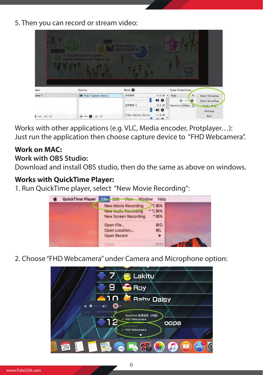5. Then you can record or stream video:

| NINTENDO      | happ<br>If you get stuck in a game,<br>maybe someone will have a tip! | Been playing:        |                               |                             |
|---------------|-----------------------------------------------------------------------|----------------------|-------------------------------|-----------------------------|
| enes          | Sources                                                               | Hizer O              | Scene Transitions             |                             |
| cene 1        | O Video Capture Device                                                | 台式音调                 | $-3.0$ dB $\land$<br>Fade     | <b>Start Streaming</b><br>٠ |
|               |                                                                       |                      | 10 ☆                          | 舂<br>Start Recording        |
|               |                                                                       | 台式常明 2               | $-2.2$ dB<br>Duration 10000ms | Studio Made                 |
|               |                                                                       |                      | 10 ₺                          | Settings                    |
| $\wedge \vee$ | $\wedge$ $\vee$                                                       | Video Capture Device | $-1.9$ dB                     | Exit                        |
|               |                                                                       |                      | $\frac{1}{2}$                 |                             |

Works with other applications (e.g. VLC, Media encoder, Protplayer…): Just run the application then choose capture device to "FHD Webcamera".

## **Work on MAC:**

#### **Work with OBS Studio:**

Download and install OBS studio, then do the same as above on windows.

#### **Works with QuickTime Player:**

1. Run QuickTime player, select "New Movie Recording":



2. Choose "FHD Webcamera" under Camera and Microphone option:

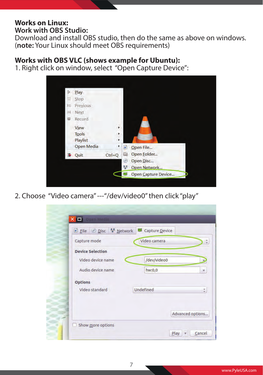#### **Works on Linux: Work with OBS Studio:**

Download and install OBS studio, then do the same as above on windows. (**note:** Your Linux should meet OBS requirements)

#### **Works with OBS VLC (shows example for Ubuntu):**

1. Right click on window, select "Open Capture Device":



2. Choose "Video camera" ---"/dev/video0" then click "play"

| Capture mode<br>Video camera<br><b>Device Selection</b><br>/dev/video0<br>Video device name |
|---------------------------------------------------------------------------------------------|
|                                                                                             |
|                                                                                             |
|                                                                                             |
| Audio device name<br>hw:0,0                                                                 |
| <b>Options</b>                                                                              |
| Undefined<br>Video standard                                                                 |